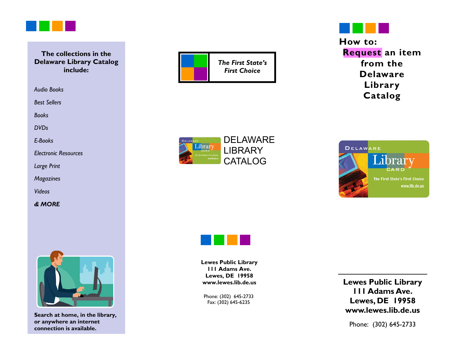

#### **The collections in the Delaware Library Catalog include:**

*Audio Books* 

*Best Sellers* 

*Books* 

*DVDs* 

*E-Books* 

*Electronic Resources* 

*Large Print* 

*Magazines* 

*Videos* 

*& MORE* 



**Search at home, in the library, or anywhere an internet connection is available.** 





**Library Catalog** 







**Lewes Public Library 111 Adams Ave. Lewes, DE 19958 www.lewes.lib.de.us** 

Phone: (302) 645-2733 Fax: (302) 645-6235

**Lewes Public Library 111 Adams Ave. Lewes, DE 19958 www.lewes.lib.de.us** 

Phone: (302) 645-2733